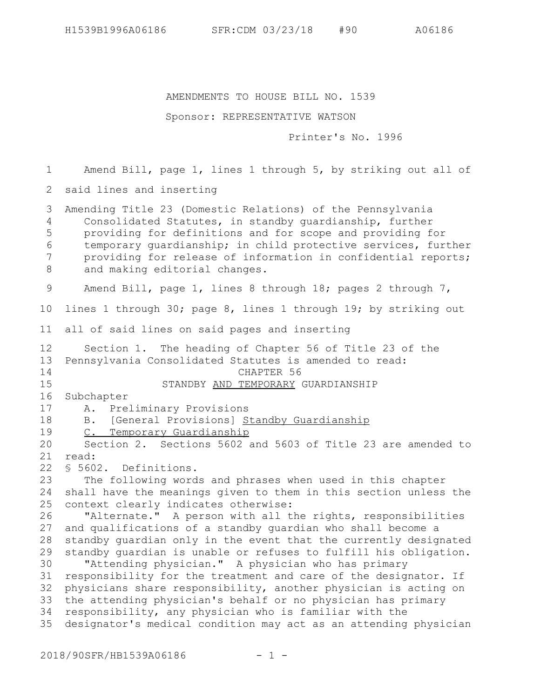AMENDMENTS TO HOUSE BILL NO. 1539

## Sponsor: REPRESENTATIVE WATSON

Printer's No. 1996

Amend Bill, page 1, lines 1 through 5, by striking out all of 2 said lines and inserting Amending Title 23 (Domestic Relations) of the Pennsylvania Consolidated Statutes, in standby guardianship, further providing for definitions and for scope and providing for temporary guardianship; in child protective services, further providing for release of information in confidential reports; and making editorial changes. Amend Bill, page 1, lines 8 through 18; pages 2 through 7, lines 1 through 30; page 8, lines 1 through 19; by striking out all of said lines on said pages and inserting Section 1. The heading of Chapter 56 of Title 23 of the Pennsylvania Consolidated Statutes is amended to read: CHAPTER 56 STANDBY AND TEMPORARY GUARDIANSHIP Subchapter A. Preliminary Provisions B. [General Provisions] Standby Guardianship C. Temporary Guardianship Section 2. Sections 5602 and 5603 of Title 23 are amended to read: § 5602. Definitions. The following words and phrases when used in this chapter 24 shall have the meanings given to them in this section unless the context clearly indicates otherwise: "Alternate." A person with all the rights, responsibilities and qualifications of a standby guardian who shall become a standby guardian only in the event that the currently designated standby guardian is unable or refuses to fulfill his obligation. "Attending physician." A physician who has primary 31 responsibility for the treatment and care of the designator. If physicians share responsibility, another physician is acting on 33 the attending physician's behalf or no physician has primary 34 responsibility, any physician who is familiar with the designator's medical condition may act as an attending physician 1 3 4 5 6 7 8 9 10 11 12 13 14 15 16 17 18 19 20 21 22 23 25 26 27 28 29 30 32 35

2018/90SFR/HB1539A06186 - 1 -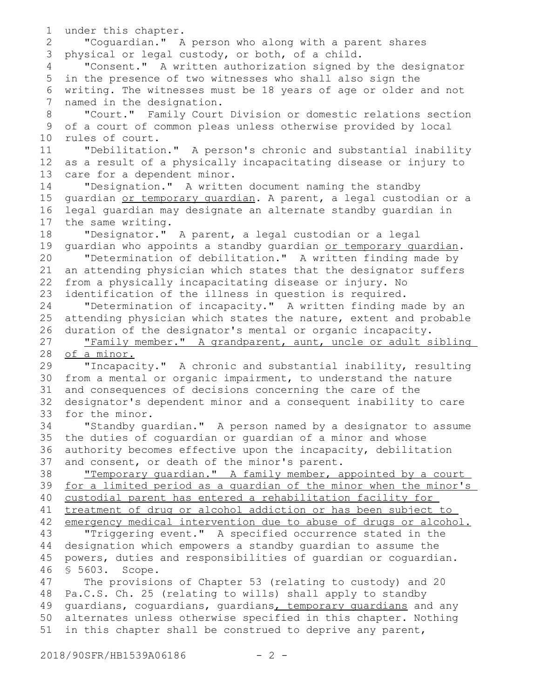```
under this chapter.
       "Coguardian." A person who along with a parent shares
 3 physical or legal custody, or both, of a child.
       "Consent." A written authorization signed by the designator
 5 in the presence of two witnesses who shall also sign the
 writing. The witnesses must be 18 years of age or older and not
6
   named in the designation.
       "Court." Family Court Division or domestic relations section
   of a court of common pleas unless otherwise provided by local
   rules of court.
       "Debilitation." A person's chronic and substantial inability
   as a result of a physically incapacitating disease or injury to
   care for a dependent minor.
       "Designation." A written document naming the standby
   guardian or temporary guardian. A parent, a legal custodian or a
   legal guardian may designate an alternate standby guardian in
   the same writing.
       "Designator." A parent, a legal custodian or a legal
   guardian who appoints a standby quardian or temporary quardian.
       "Determination of debilitation." A written finding made by
   an attending physician which states that the designator suffers
   from a physically incapacitating disease or injury. No
   identification of the illness in question is required.
       "Determination of incapacity." A written finding made by an
   attending physician which states the nature, extent and probable
   duration of the designator's mental or organic incapacity.
       "Family member." A grandparent, aunt, uncle or adult sibling
   of a minor.
       "Incapacity." A chronic and substantial inability, resulting
   from a mental or organic impairment, to understand the nature
   and consequences of decisions concerning the care of the
   designator's dependent minor and a consequent inability to care
   for the minor.
       "Standby guardian." A person named by a designator to assume
   the duties of coguardian or guardian of a minor and whose
   authority becomes effective upon the incapacity, debilitation
   and consent, or death of the minor's parent.
       "Temporary guardian." A family member, appointed by a court
   for a limited period as a guardian of the minor when the minor's
   custodial parent has entered a rehabilitation facility for
   treatment of drug or alcohol addiction or has been subject to
   emergency medical intervention due to abuse of drugs or alcohol.
       "Triggering event." A specified occurrence stated in the
   designation which empowers a standby guardian to assume the
   powers, duties and responsibilities of guardian or coguardian.
   § 5603. Scope.
       The provisions of Chapter 53 (relating to custody) and 20
   Pa.C.S. Ch. 25 (relating to wills) shall apply to standby
   guardians, coguardians, guardians, temporary guardians and any
   alternates unless otherwise specified in this chapter. Nothing
   in this chapter shall be construed to deprive any parent,
1
 2
 4
 7
 8
 9
10
11
12
13
14
15
16
17
18
19
20
21
22
23
24
25
26
27
28
29
30
31
32
33
34
35
36
37
38
39
40
41
42
43
44
45
46
47
48
49
50
51
```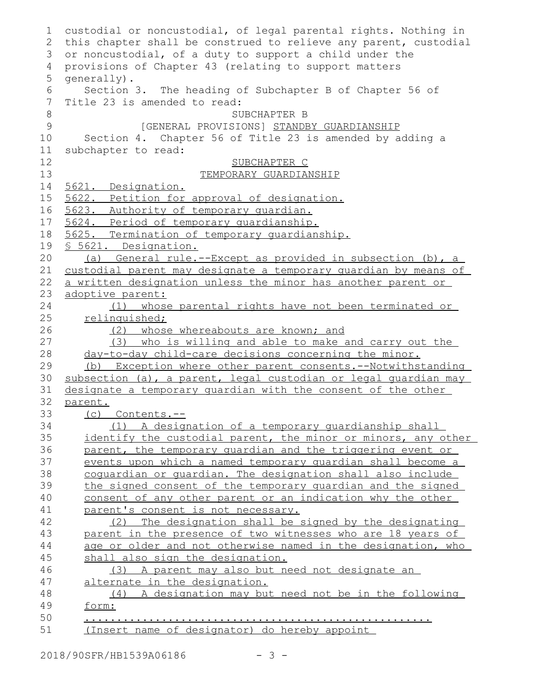| $\mathbf 1$    | custodial or noncustodial, of legal parental rights. Nothing in  |
|----------------|------------------------------------------------------------------|
| 2              | this chapter shall be construed to relieve any parent, custodial |
| 3              | or noncustodial, of a duty to support a child under the          |
| $\overline{4}$ | provisions of Chapter 43 (relating to support matters            |
| 5              | qenerally).                                                      |
| 6              | Section 3. The heading of Subchapter B of Chapter 56 of          |
| 7              | Title 23 is amended to read:                                     |
| $\,8\,$        | SUBCHAPTER B                                                     |
| 9              | [GENERAL PROVISIONS] STANDBY GUARDIANSHIP                        |
| 10             | Section 4. Chapter 56 of Title 23 is amended by adding a         |
| 11             | subchapter to read:                                              |
| 12             | SUBCHAPTER C                                                     |
| 13             | TEMPORARY GUARDIANSHIP                                           |
| 14             | 5621. Designation.                                               |
| 15             | 5622. Petition for approval of designation.                      |
| 16             | 5623. Authority of temporary quardian.                           |
| 17             | 5624. Period of temporary quardianship.                          |
| 18             | 5625. Termination of temporary quardianship.                     |
| 19             | § 5621. Designation.                                             |
| 20             | General rule.--Except as provided in subsection (b), a<br>(a)    |
| 21             | custodial parent may designate a temporary quardian by means of  |
| 22             | a written designation unless the minor has another parent or     |
| 23             | adoptive parent:                                                 |
| 24             | whose parental rights have not been terminated or<br>(1)         |
| 25             | relinquished;                                                    |
| 26             | (2) whose whereabouts are known; and                             |
| 27             | (3) who is willing and able to make and carry out the            |
| 28             | day-to-day child-care decisions concerning the minor.            |
| 29             | Exception where other parent consents. -- Notwithstanding<br>(b) |
| 30             | subsection (a), a parent, legal custodian or legal quardian may  |
| 31             | designate a temporary guardian with the consent of the other     |
| 32             | parent.                                                          |
| 33             | (c) Contents.--                                                  |
| 34             | (1) A designation of a temporary quardianship shall              |
| 35             | identify the custodial parent, the minor or minors, any other    |
| 36             | parent, the temporary quardian and the triggering event or       |
| 37             | events upon which a named temporary quardian shall become a      |
| 38             | coquardian or quardian. The designation shall also include       |
| 39             | the signed consent of the temporary quardian and the signed      |
| 40             | consent of any other parent or an indication why the other       |
| 41             | parent's consent is not necessary.                               |
| 42             | (2) The designation shall be signed by the designating           |
| 43             | parent in the presence of two witnesses who are 18 years of      |
| 44             | age or older and not otherwise named in the designation, who     |
| 45             | shall also sign the designation.                                 |
| 46             | (3) A parent may also but need not designate an                  |
| 47             | alternate in the designation.                                    |
| 48             | (4) A designation may but need not be in the following           |
| 49             | form:                                                            |
| 50             |                                                                  |
| 51             | (Insert name of designator) do hereby appoint                    |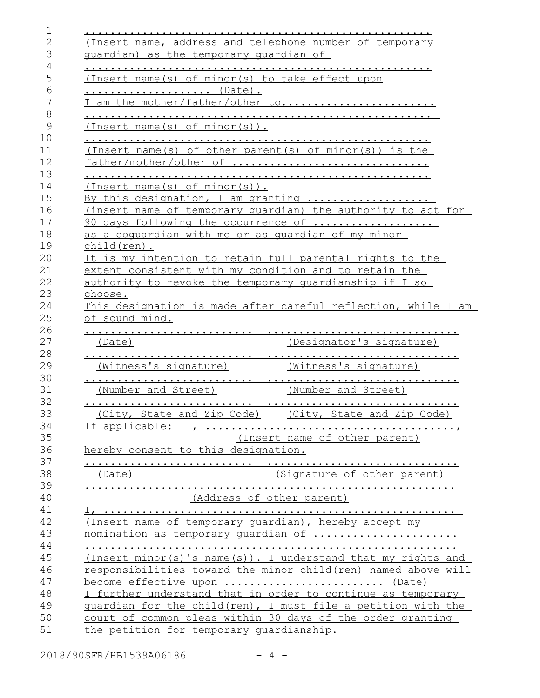| (Insert name, address and telephone number of temporary  |                                                                                                                                                                                                                                                                                                                                                                     |
|----------------------------------------------------------|---------------------------------------------------------------------------------------------------------------------------------------------------------------------------------------------------------------------------------------------------------------------------------------------------------------------------------------------------------------------|
| quardian) as the temporary quardian of                   |                                                                                                                                                                                                                                                                                                                                                                     |
|                                                          |                                                                                                                                                                                                                                                                                                                                                                     |
| (Insert name(s) of minor(s) to take effect upon          |                                                                                                                                                                                                                                                                                                                                                                     |
| <u> (Date)</u> .                                         |                                                                                                                                                                                                                                                                                                                                                                     |
| I am the mother/father/other to                          |                                                                                                                                                                                                                                                                                                                                                                     |
|                                                          |                                                                                                                                                                                                                                                                                                                                                                     |
| (Inset name(s) of minor(s)).                             |                                                                                                                                                                                                                                                                                                                                                                     |
| (Insert name(s) of other parent(s) of minor(s)) is the   |                                                                                                                                                                                                                                                                                                                                                                     |
| father/mother/other of                                   |                                                                                                                                                                                                                                                                                                                                                                     |
|                                                          |                                                                                                                                                                                                                                                                                                                                                                     |
| $(Inset name(s) of minor(s))$ .                          |                                                                                                                                                                                                                                                                                                                                                                     |
| By this designation, I am granting                       |                                                                                                                                                                                                                                                                                                                                                                     |
|                                                          | (insert name of temporary quardian) the authority to act for                                                                                                                                                                                                                                                                                                        |
| 90 days following the occurrence of                      |                                                                                                                                                                                                                                                                                                                                                                     |
| as a coquardian with me or as quardian of my minor       |                                                                                                                                                                                                                                                                                                                                                                     |
| child(ren).                                              |                                                                                                                                                                                                                                                                                                                                                                     |
| It is my intention to retain full parental rights to the |                                                                                                                                                                                                                                                                                                                                                                     |
| extent consistent with my condition and to retain the    |                                                                                                                                                                                                                                                                                                                                                                     |
| authority to revoke the temporary quardianship if I so   |                                                                                                                                                                                                                                                                                                                                                                     |
| choose.                                                  |                                                                                                                                                                                                                                                                                                                                                                     |
|                                                          |                                                                                                                                                                                                                                                                                                                                                                     |
|                                                          | This designation is made after careful reflection, while I am                                                                                                                                                                                                                                                                                                       |
| of sound mind.                                           |                                                                                                                                                                                                                                                                                                                                                                     |
| .                                                        |                                                                                                                                                                                                                                                                                                                                                                     |
| (Date)                                                   | (Designator's signature)                                                                                                                                                                                                                                                                                                                                            |
|                                                          |                                                                                                                                                                                                                                                                                                                                                                     |
| (Witness's signature)                                    | (Witness's signature)                                                                                                                                                                                                                                                                                                                                               |
|                                                          |                                                                                                                                                                                                                                                                                                                                                                     |
| (Number and Street)                                      | (Number and Street)                                                                                                                                                                                                                                                                                                                                                 |
|                                                          |                                                                                                                                                                                                                                                                                                                                                                     |
| (City, State and Zip Code)                               | (City, State and Zip Code)                                                                                                                                                                                                                                                                                                                                          |
|                                                          |                                                                                                                                                                                                                                                                                                                                                                     |
|                                                          | (Insert name of other parent)                                                                                                                                                                                                                                                                                                                                       |
| hereby consent to this designation.                      |                                                                                                                                                                                                                                                                                                                                                                     |
| (Date)                                                   | (Signature of other parent)                                                                                                                                                                                                                                                                                                                                         |
|                                                          |                                                                                                                                                                                                                                                                                                                                                                     |
|                                                          |                                                                                                                                                                                                                                                                                                                                                                     |
|                                                          |                                                                                                                                                                                                                                                                                                                                                                     |
|                                                          | (Address of other parent)                                                                                                                                                                                                                                                                                                                                           |
|                                                          |                                                                                                                                                                                                                                                                                                                                                                     |
| (Insert name of temporary quardian), hereby accept my    |                                                                                                                                                                                                                                                                                                                                                                     |
|                                                          |                                                                                                                                                                                                                                                                                                                                                                     |
|                                                          |                                                                                                                                                                                                                                                                                                                                                                     |
|                                                          |                                                                                                                                                                                                                                                                                                                                                                     |
| become effective upon  (Date)                            |                                                                                                                                                                                                                                                                                                                                                                     |
|                                                          |                                                                                                                                                                                                                                                                                                                                                                     |
|                                                          |                                                                                                                                                                                                                                                                                                                                                                     |
|                                                          | nomination as temporary quardian of<br>(Insert minor(s)'s name(s)). I understand that my rights and<br>responsibilities toward the minor child (ren) named above will<br>I further understand that in order to continue as temporary<br>guardian for the child (ren), I must file a petition with the<br>court of common pleas within 30 days of the order granting |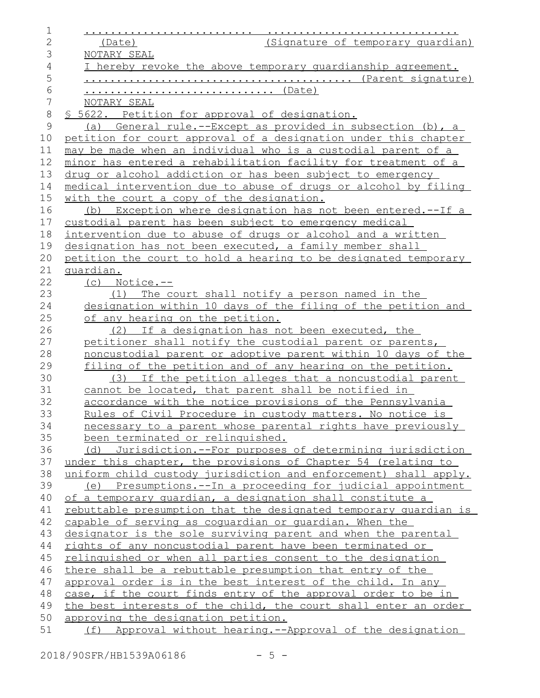| 1              |                                                                  |
|----------------|------------------------------------------------------------------|
| $\mathbf{2}$   | (Signature of temporary guardian)<br>(Date)                      |
| 3              | NOTARY SEAL                                                      |
| $\overline{4}$ | I hereby revoke the above temporary quardianship agreement.      |
| 5              |                                                                  |
| 6              | <u> (Date)</u>                                                   |
| $\overline{7}$ | NOTARY SEAL                                                      |
| $\,8\,$        | <u>S 5622. Petition for approval of designation.</u>             |
| 9              | (a) General rule.--Except as provided in subsection (b), a       |
| 10             | petition for court approval of a designation under this chapter  |
| 11             | may be made when an individual who is a custodial parent of a    |
| 12             | minor has entered a rehabilitation facility for treatment of a   |
| 13             | drug or alcohol addiction or has been subject to emergency       |
| 14             | medical intervention due to abuse of drugs or alcohol by filing  |
| 15             | with the court a copy of the designation.                        |
| 16             | (b) Exception where designation has not been entered.--If a      |
| 17             | custodial parent has been subject to emergency medical           |
| 18             | intervention due to abuse of drugs or alcohol and a written      |
| 19             | designation has not been executed, a family member shall         |
| 20             | petition the court to hold a hearing to be designated temporary  |
| 21             | <u>quardian.</u>                                                 |
| 22             | $(c)$ Notice.--                                                  |
| 23             | (1) The court shall notify a person named in the                 |
| 24             | designation within 10 days of the filing of the petition and     |
| 25             | of any hearing on the petition.                                  |
| 26             | (2) If a designation has not been executed, the                  |
| 27             | petitioner shall notify the custodial parent or parents,         |
| 28             | noncustodial parent or adoptive parent within 10 days of the     |
| 29             | filing of the petition and of any hearing on the petition.       |
| 30             | (3) If the petition alleges that a noncustodial parent           |
| 31             | cannot be located, that parent shall be notified in              |
| 32             | accordance with the notice provisions of the Pennsylvania        |
| 33             | Rules of Civil Procedure in custody matters. No notice is        |
| 34             | necessary to a parent whose parental rights have previously      |
| 35             | been terminated or relinquished.                                 |
| 36             | (d) Jurisdiction.--For purposes of determining jurisdiction      |
| 37             | under this chapter, the provisions of Chapter 54 (relating to    |
| 38             | uniform child custody jurisdiction and enforcement) shall apply. |
| 39             | (e) Presumptions.--In a proceeding for judicial appointment      |
| 40             | of a temporary quardian, a designation shall constitute a        |
| 41             | rebuttable presumption that the designated temporary quardian is |
| 42             | capable of serving as coquardian or quardian. When the           |
| 43             | designator is the sole surviving parent and when the parental    |
| 44             | rights of any noncustodial parent have been terminated or        |
| 45             | relinguished or when all parties consent to the designation      |
| 46             | there shall be a rebuttable presumption that entry of the        |
| 47             | approval order is in the best interest of the child. In any      |
| 48             | case, if the court finds entry of the approval order to be in    |
| 49             | the best interests of the child, the court shall enter an order  |
| 50             | approving the designation petition.                              |
| 51             | (f) Approval without hearing.--Approval of the designation       |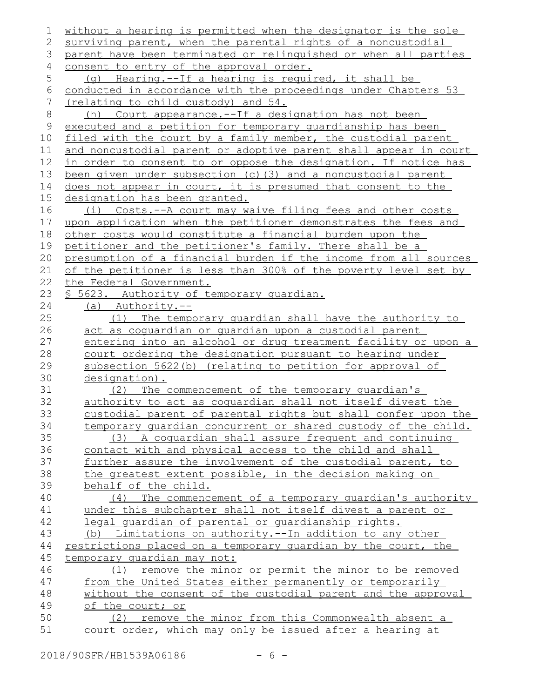| 1            | without a hearing is permitted when the designator is the sole                                                      |
|--------------|---------------------------------------------------------------------------------------------------------------------|
| 2            | surviving parent, when the parental rights of a noncustodial                                                        |
| 3            | parent have been terminated or relinquished or when all parties                                                     |
| 4            | consent to entry of the approval order.                                                                             |
| 5            | Hearing.--If a hearing is required, it shall be<br>(q)                                                              |
| $\sqrt{6}$   | conducted in accordance with the proceedings under Chapters 53                                                      |
| 7            | <u>(relating to child custody) and 54.</u>                                                                          |
| $\,8\,$      | Court appearance.--If a designation has not been<br>(h)                                                             |
| $\mathsf{9}$ | executed and a petition for temporary quardianship has been                                                         |
| 10           | filed with the court by a family member, the custodial parent                                                       |
| 11           | and noncustodial parent or adoptive parent shall appear in court                                                    |
| 12           | in order to consent to or oppose the designation. If notice has                                                     |
| 13           | been given under subsection (c) (3) and a noncustodial parent                                                       |
| 14           | does not appear in court, it is presumed that consent to the                                                        |
| 15           | designation has been granted.                                                                                       |
| 16           | (i) Costs.--A court may waive filing fees and other costs                                                           |
| 17           | upon application when the petitioner demonstrates the fees and                                                      |
| 18           | other costs would constitute a financial burden upon the                                                            |
| 19           | petitioner and the petitioner's family. There shall be a                                                            |
| 20           | presumption of a financial burden if the income from all sources                                                    |
| 21           | of the petitioner is less than 300% of the poverty level set by                                                     |
| 22           | the Federal Government.                                                                                             |
| 23           | <u>S 5623. Authority of temporary quardian.</u>                                                                     |
| 24           | (a) Authority.--                                                                                                    |
| 25           | (1) The temporary quardian shall have the authority to                                                              |
| 26           | act as coquardian or quardian upon a custodial parent                                                               |
|              |                                                                                                                     |
| 27           | entering into an alcohol or drug treatment facility or upon a                                                       |
| 28           | court ordering the designation pursuant to hearing under                                                            |
| 29           | subsection 5622(b) (relating to petition for approval of                                                            |
| 30           | designation).                                                                                                       |
| 31           | The commencement of the temporary quardian's<br>(2)                                                                 |
| 32           | authority to act as coquardian shall not itself divest the                                                          |
| 33           | custodial parent of parental rights but shall confer upon the                                                       |
| 34           | temporary quardian concurrent or shared custody of the child.                                                       |
| 35           | (3) A coquardian shall assure frequent and continuing                                                               |
| 36           | contact with and physical access to the child and shall                                                             |
| 37           | further assure the involvement of the custodial parent, to                                                          |
| 38           | the greatest extent possible, in the decision making on                                                             |
| 39           | behalf of the child.                                                                                                |
| 40           | (4) The commencement of a temporary quardian's authority                                                            |
| 41           | under this subchapter shall not itself divest a parent or                                                           |
| 42           | legal quardian of parental or quardianship rights.                                                                  |
| 43           | (b) Limitations on authority.--In addition to any other                                                             |
| 44           | restrictions placed on a temporary quardian by the court, the                                                       |
| 45           | temporary quardian may not:                                                                                         |
| 46           | remove the minor or permit the minor to be removed<br>(1)                                                           |
| 47           | from the United States either permanently or temporarily                                                            |
| 48           | without the consent of the custodial parent and the approval                                                        |
| 49           | of the court; or                                                                                                    |
| 50<br>51     | remove the minor from this Commonwealth absent a<br>(2)<br>court order, which may only be issued after a hearing at |